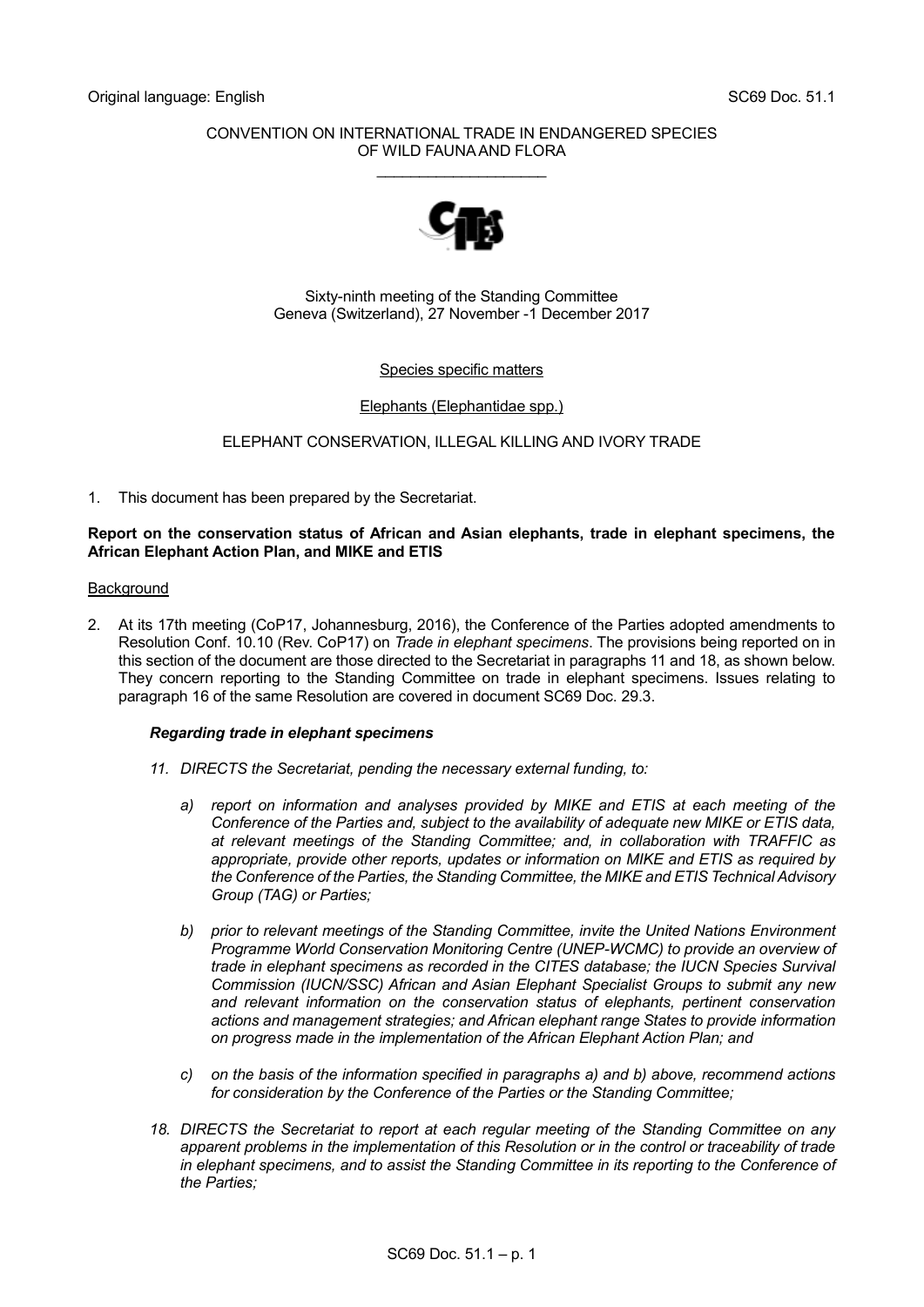# CONVENTION ON INTERNATIONAL TRADE IN ENDANGERED SPECIES OF WILD FAUNA AND FLORA

\_\_\_\_\_\_\_\_\_\_\_\_\_\_\_\_\_\_\_\_



Sixty-ninth meeting of the Standing Committee Geneva (Switzerland), 27 November -1 December 2017

# Species specific matters

# Elephants (Elephantidae spp.)

# ELEPHANT CONSERVATION, ILLEGAL KILLING AND IVORY TRADE

1. This document has been prepared by the Secretariat.

## **Report on the conservation status of African and Asian elephants, trade in elephant specimens, the African Elephant Action Plan, and MIKE and ETIS**

### **Background**

2. At its 17th meeting (CoP17, Johannesburg, 2016), the Conference of the Parties adopted amendments to Resolution Conf. 10.10 (Rev. CoP17) on *Trade in elephant specimens*. The provisions being reported on in this section of the document are those directed to the Secretariat in paragraphs 11 and 18, as shown below. They concern reporting to the Standing Committee on trade in elephant specimens. Issues relating to paragraph 16 of the same Resolution are covered in document SC69 Doc. 29.3.

### *Regarding trade in elephant specimens*

- *11. DIRECTS the Secretariat, pending the necessary external funding, to:*
	- *a) report on information and analyses provided by MIKE and ETIS at each meeting of the Conference of the Parties and, subject to the availability of adequate new MIKE or ETIS data, at relevant meetings of the Standing Committee; and, in collaboration with TRAFFIC as appropriate, provide other reports, updates or information on MIKE and ETIS as required by the Conference of the Parties, the Standing Committee, the MIKE and ETIS Technical Advisory Group (TAG) or Parties;*
	- *b) prior to relevant meetings of the Standing Committee, invite the United Nations Environment Programme World Conservation Monitoring Centre (UNEP-WCMC) to provide an overview of trade in elephant specimens as recorded in the CITES database; the IUCN Species Survival Commission (IUCN/SSC) African and Asian Elephant Specialist Groups to submit any new and relevant information on the conservation status of elephants, pertinent conservation actions and management strategies; and African elephant range States to provide information on progress made in the implementation of the African Elephant Action Plan; and*
	- *c) on the basis of the information specified in paragraphs a) and b) above, recommend actions for consideration by the Conference of the Parties or the Standing Committee;*
- *18. DIRECTS the Secretariat to report at each regular meeting of the Standing Committee on any apparent problems in the implementation of this Resolution or in the control or traceability of trade in elephant specimens, and to assist the Standing Committee in its reporting to the Conference of the Parties;*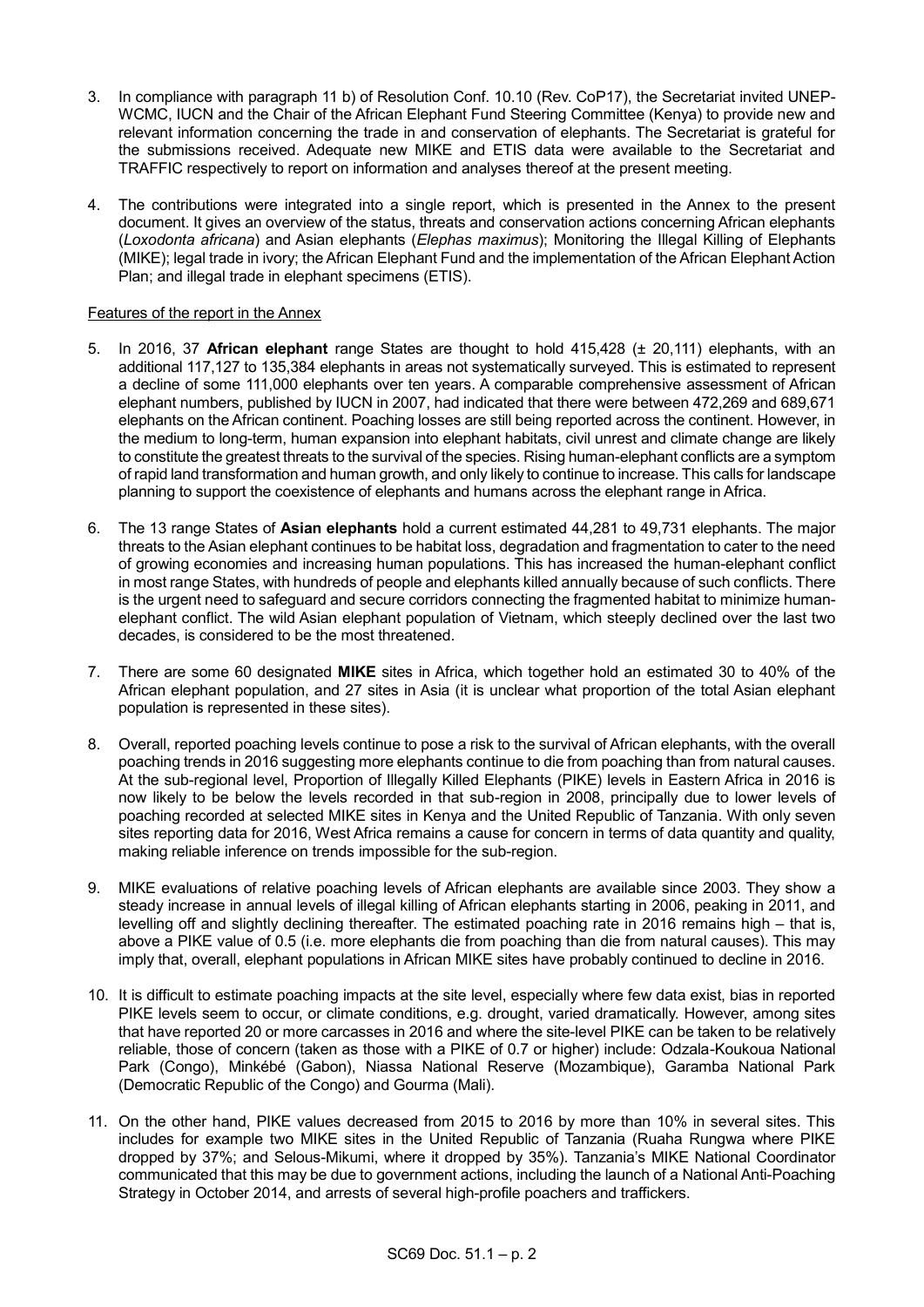- 3. In compliance with paragraph 11 b) of Resolution Conf. 10.10 (Rev. CoP17), the Secretariat invited UNEP-WCMC, IUCN and the Chair of the African Elephant Fund Steering Committee (Kenya) to provide new and relevant information concerning the trade in and conservation of elephants. The Secretariat is grateful for the submissions received. Adequate new MIKE and ETIS data were available to the Secretariat and TRAFFIC respectively to report on information and analyses thereof at the present meeting.
- 4. The contributions were integrated into a single report, which is presented in the Annex to the present document. It gives an overview of the status, threats and conservation actions concerning African elephants (*Loxodonta africana*) and Asian elephants (*Elephas maximus*); Monitoring the Illegal Killing of Elephants (MIKE); legal trade in ivory; the African Elephant Fund and the implementation of the African Elephant Action Plan; and illegal trade in elephant specimens (ETIS).

# Features of the report in the Annex

- 5. In 2016, 37 **African elephant** range States are thought to hold 415,428 (± 20,111) elephants, with an additional 117,127 to 135,384 elephants in areas not systematically surveyed. This is estimated to represent a decline of some 111,000 elephants over ten years. A comparable comprehensive assessment of African elephant numbers, published by IUCN in 2007, had indicated that there were between 472,269 and 689,671 elephants on the African continent. Poaching losses are still being reported across the continent. However, in the medium to long-term, human expansion into elephant habitats, civil unrest and climate change are likely to constitute the greatest threats to the survival of the species. Rising human-elephant conflicts are a symptom of rapid land transformation and human growth, and only likely to continue to increase. This calls for landscape planning to support the coexistence of elephants and humans across the elephant range in Africa.
- 6. The 13 range States of **Asian elephants** hold a current estimated 44,281 to 49,731 elephants. The major threats to the Asian elephant continues to be habitat loss, degradation and fragmentation to cater to the need of growing economies and increasing human populations. This has increased the human-elephant conflict in most range States, with hundreds of people and elephants killed annually because of such conflicts. There is the urgent need to safeguard and secure corridors connecting the fragmented habitat to minimize humanelephant conflict. The wild Asian elephant population of Vietnam, which steeply declined over the last two decades, is considered to be the most threatened.
- 7. There are some 60 designated **MIKE** sites in Africa, which together hold an estimated 30 to 40% of the African elephant population, and 27 sites in Asia (it is unclear what proportion of the total Asian elephant population is represented in these sites).
- 8. Overall, reported poaching levels continue to pose a risk to the survival of African elephants, with the overall poaching trends in 2016 suggesting more elephants continue to die from poaching than from natural causes. At the sub-regional level, Proportion of Illegally Killed Elephants (PIKE) levels in Eastern Africa in 2016 is now likely to be below the levels recorded in that sub-region in 2008, principally due to lower levels of poaching recorded at selected MIKE sites in Kenya and the United Republic of Tanzania. With only seven sites reporting data for 2016, West Africa remains a cause for concern in terms of data quantity and quality, making reliable inference on trends impossible for the sub-region.
- 9. MIKE evaluations of relative poaching levels of African elephants are available since 2003. They show a steady increase in annual levels of illegal killing of African elephants starting in 2006, peaking in 2011, and levelling off and slightly declining thereafter. The estimated poaching rate in 2016 remains high – that is, above a PIKE value of 0.5 (i.e. more elephants die from poaching than die from natural causes). This may imply that, overall, elephant populations in African MIKE sites have probably continued to decline in 2016.
- 10. It is difficult to estimate poaching impacts at the site level, especially where few data exist, bias in reported PIKE levels seem to occur, or climate conditions, e.g. drought, varied dramatically. However, among sites that have reported 20 or more carcasses in 2016 and where the site-level PIKE can be taken to be relatively reliable, those of concern (taken as those with a PIKE of 0.7 or higher) include: Odzala-Koukoua National Park (Congo), Minkébé (Gabon), Niassa National Reserve (Mozambique), Garamba National Park (Democratic Republic of the Congo) and Gourma (Mali).
- 11. On the other hand, PIKE values decreased from 2015 to 2016 by more than 10% in several sites. This includes for example two MIKE sites in the United Republic of Tanzania (Ruaha Rungwa where PIKE dropped by 37%; and Selous-Mikumi, where it dropped by 35%). Tanzania's MIKE National Coordinator communicated that this may be due to government actions, including the launch of a National Anti-Poaching Strategy in October 2014, and arrests of several high-profile poachers and traffickers.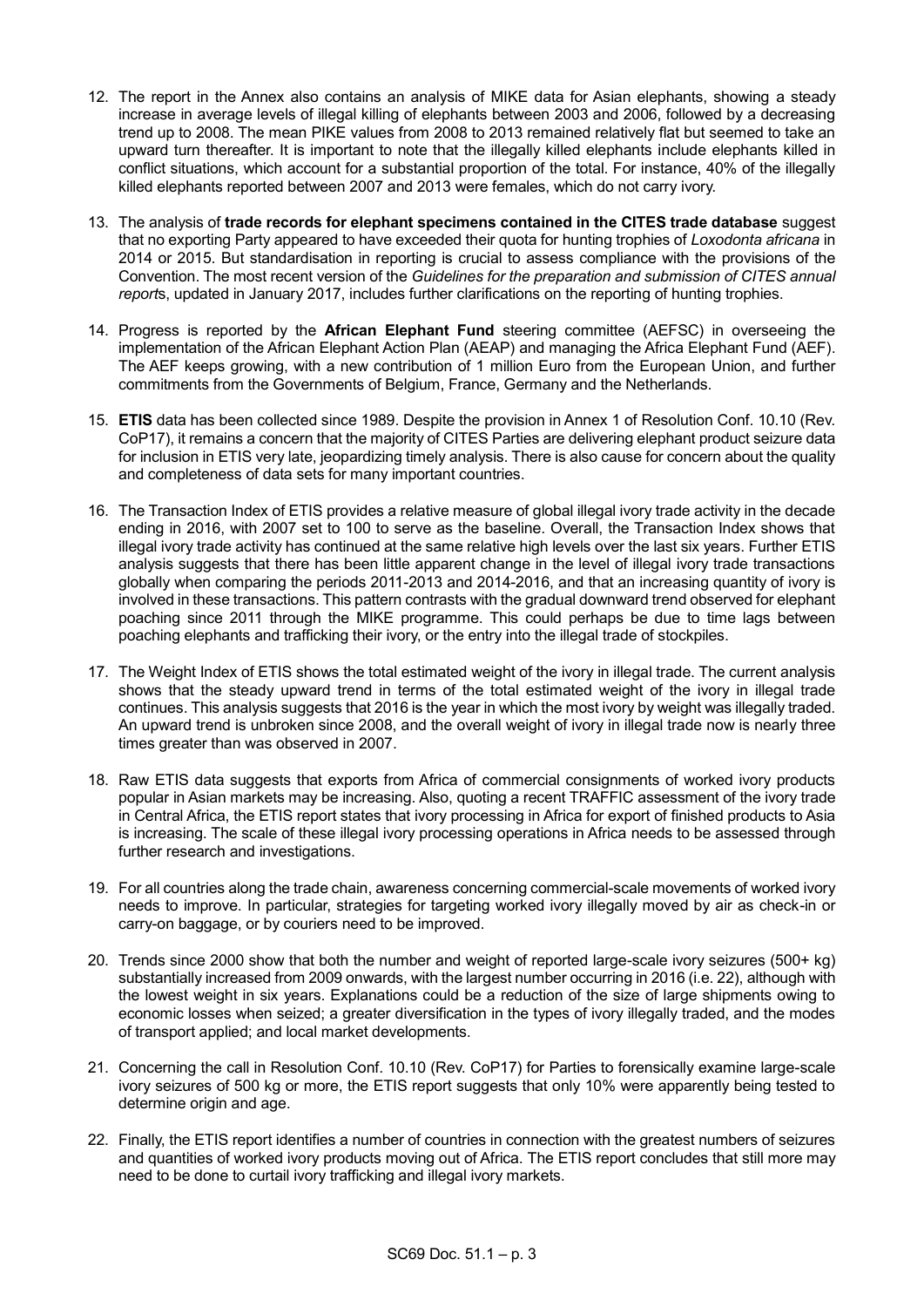- 12. The report in the Annex also contains an analysis of MIKE data for Asian elephants, showing a steady increase in average levels of illegal killing of elephants between 2003 and 2006, followed by a decreasing trend up to 2008. The mean PIKE values from 2008 to 2013 remained relatively flat but seemed to take an upward turn thereafter. It is important to note that the illegally killed elephants include elephants killed in conflict situations, which account for a substantial proportion of the total. For instance, 40% of the illegally killed elephants reported between 2007 and 2013 were females, which do not carry ivory.
- 13. The analysis of **trade records for elephant specimens contained in the CITES trade database** suggest that no exporting Party appeared to have exceeded their quota for hunting trophies of *Loxodonta africana* in 2014 or 2015. But standardisation in reporting is crucial to assess compliance with the provisions of the Convention. The most recent version of the *Guidelines for the preparation and submission of CITES annual report*s, updated in January 2017, includes further clarifications on the reporting of hunting trophies.
- 14. Progress is reported by the **African Elephant Fund** steering committee (AEFSC) in overseeing the implementation of the African Elephant Action Plan (AEAP) and managing the Africa Elephant Fund (AEF). The AEF keeps growing, with a new contribution of 1 million Euro from the European Union, and further commitments from the Governments of Belgium, France, Germany and the Netherlands.
- 15. **ETIS** data has been collected since 1989. Despite the provision in Annex 1 of Resolution Conf. 10.10 (Rev. CoP17), it remains a concern that the majority of CITES Parties are delivering elephant product seizure data for inclusion in ETIS very late, jeopardizing timely analysis. There is also cause for concern about the quality and completeness of data sets for many important countries.
- 16. The Transaction Index of ETIS provides a relative measure of global illegal ivory trade activity in the decade ending in 2016, with 2007 set to 100 to serve as the baseline. Overall, the Transaction Index shows that illegal ivory trade activity has continued at the same relative high levels over the last six years. Further ETIS analysis suggests that there has been little apparent change in the level of illegal ivory trade transactions globally when comparing the periods 2011-2013 and 2014-2016, and that an increasing quantity of ivory is involved in these transactions. This pattern contrasts with the gradual downward trend observed for elephant poaching since 2011 through the MIKE programme. This could perhaps be due to time lags between poaching elephants and trafficking their ivory, or the entry into the illegal trade of stockpiles.
- 17. The Weight Index of ETIS shows the total estimated weight of the ivory in illegal trade. The current analysis shows that the steady upward trend in terms of the total estimated weight of the ivory in illegal trade continues. This analysis suggests that 2016 is the year in which the most ivory by weight was illegally traded. An upward trend is unbroken since 2008, and the overall weight of ivory in illegal trade now is nearly three times greater than was observed in 2007.
- 18. Raw ETIS data suggests that exports from Africa of commercial consignments of worked ivory products popular in Asian markets may be increasing. Also, quoting a recent TRAFFIC assessment of the ivory trade in Central Africa, the ETIS report states that ivory processing in Africa for export of finished products to Asia is increasing. The scale of these illegal ivory processing operations in Africa needs to be assessed through further research and investigations.
- 19. For all countries along the trade chain, awareness concerning commercial-scale movements of worked ivory needs to improve. In particular, strategies for targeting worked ivory illegally moved by air as check-in or carry-on baggage, or by couriers need to be improved.
- 20. Trends since 2000 show that both the number and weight of reported large-scale ivory seizures (500+ kg) substantially increased from 2009 onwards, with the largest number occurring in 2016 (i.e. 22), although with the lowest weight in six years. Explanations could be a reduction of the size of large shipments owing to economic losses when seized; a greater diversification in the types of ivory illegally traded, and the modes of transport applied; and local market developments.
- 21. Concerning the call in Resolution Conf. 10.10 (Rev. CoP17) for Parties to forensically examine large-scale ivory seizures of 500 kg or more, the ETIS report suggests that only 10% were apparently being tested to determine origin and age.
- 22. Finally, the ETIS report identifies a number of countries in connection with the greatest numbers of seizures and quantities of worked ivory products moving out of Africa. The ETIS report concludes that still more may need to be done to curtail ivory trafficking and illegal ivory markets.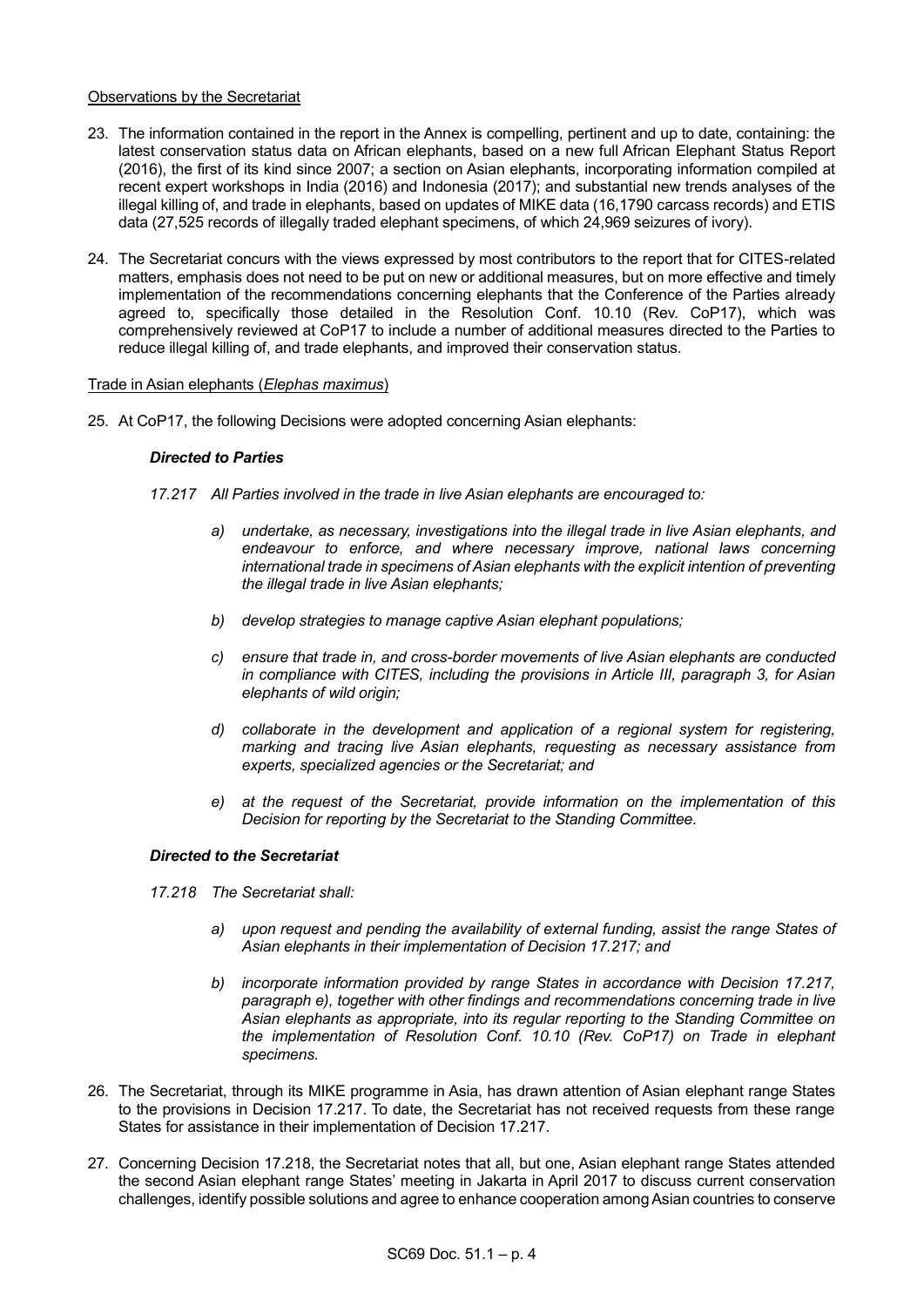## Observations by the Secretariat

- 23. The information contained in the report in the Annex is compelling, pertinent and up to date, containing: the latest conservation status data on African elephants, based on a new full African Elephant Status Report (2016), the first of its kind since 2007; a section on Asian elephants, incorporating information compiled at recent expert workshops in India (2016) and Indonesia (2017); and substantial new trends analyses of the illegal killing of, and trade in elephants, based on updates of MIKE data (16,1790 carcass records) and ETIS data (27,525 records of illegally traded elephant specimens, of which 24,969 seizures of ivory).
- 24. The Secretariat concurs with the views expressed by most contributors to the report that for CITES-related matters, emphasis does not need to be put on new or additional measures, but on more effective and timely implementation of the recommendations concerning elephants that the Conference of the Parties already agreed to, specifically those detailed in the Resolution Conf. 10.10 (Rev. CoP17), which was comprehensively reviewed at CoP17 to include a number of additional measures directed to the Parties to reduce illegal killing of, and trade elephants, and improved their conservation status.

# Trade in Asian elephants (*Elephas maximus*)

25. At CoP17, the following Decisions were adopted concerning Asian elephants:

# *Directed to Parties*

- *17.217 All Parties involved in the trade in live Asian elephants are encouraged to:*
	- *a) undertake, as necessary, investigations into the illegal trade in live Asian elephants, and endeavour to enforce, and where necessary improve, national laws concerning international trade in specimens of Asian elephants with the explicit intention of preventing the illegal trade in live Asian elephants;*
	- *b) develop strategies to manage captive Asian elephant populations;*
	- *c) ensure that trade in, and cross-border movements of live Asian elephants are conducted in compliance with CITES, including the provisions in Article III, paragraph 3, for Asian elephants of wild origin;*
	- *d) collaborate in the development and application of a regional system for registering, marking and tracing live Asian elephants, requesting as necessary assistance from experts, specialized agencies or the Secretariat; and*
	- *e) at the request of the Secretariat, provide information on the implementation of this Decision for reporting by the Secretariat to the Standing Committee.*

# *Directed to the Secretariat*

- *17.218 The Secretariat shall:*
	- *a) upon request and pending the availability of external funding, assist the range States of Asian elephants in their implementation of Decision 17.217; and*
	- *b) incorporate information provided by range States in accordance with Decision 17.217, paragraph e), together with other findings and recommendations concerning trade in live Asian elephants as appropriate, into its regular reporting to the Standing Committee on the implementation of Resolution Conf. 10.10 (Rev. CoP17) on Trade in elephant specimens.*
- 26. The Secretariat, through its MIKE programme in Asia, has drawn attention of Asian elephant range States to the provisions in Decision 17.217. To date, the Secretariat has not received requests from these range States for assistance in their implementation of Decision 17.217.
- 27. Concerning Decision 17.218, the Secretariat notes that all, but one, Asian elephant range States attended the second Asian elephant range States' meeting in Jakarta in April 2017 to discuss current conservation challenges, identify possible solutions and agree to enhance cooperation among Asian countries to conserve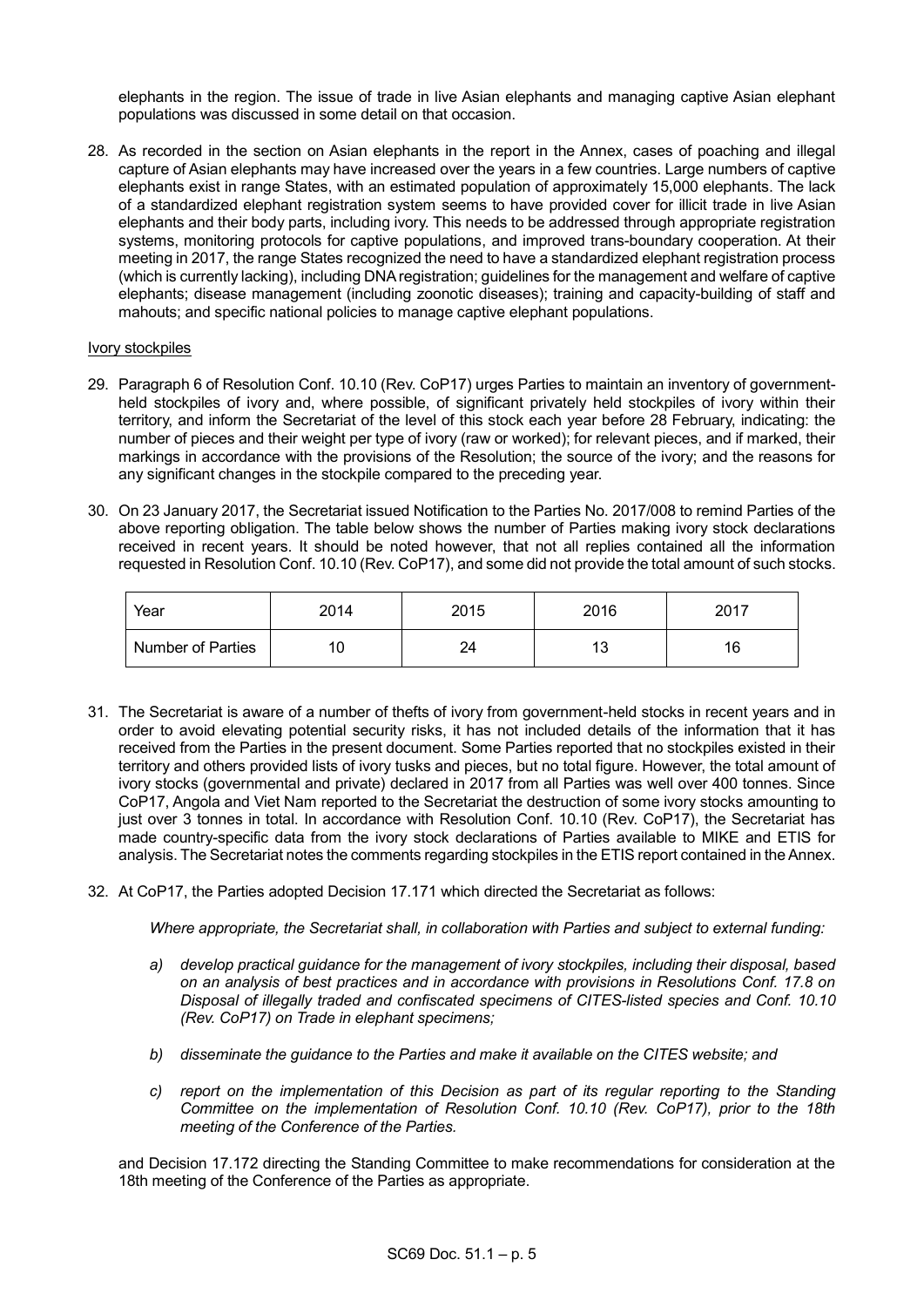elephants in the region. The issue of trade in live Asian elephants and managing captive Asian elephant populations was discussed in some detail on that occasion.

28. As recorded in the section on Asian elephants in the report in the Annex, cases of poaching and illegal capture of Asian elephants may have increased over the years in a few countries. Large numbers of captive elephants exist in range States, with an estimated population of approximately 15,000 elephants. The lack of a standardized elephant registration system seems to have provided cover for illicit trade in live Asian elephants and their body parts, including ivory. This needs to be addressed through appropriate registration systems, monitoring protocols for captive populations, and improved trans-boundary cooperation. At their meeting in 2017, the range States recognized the need to have a standardized elephant registration process (which is currently lacking), including DNA registration; guidelines for the management and welfare of captive elephants; disease management (including zoonotic diseases); training and capacity-building of staff and mahouts; and specific national policies to manage captive elephant populations.

### Ivory stockpiles

- 29. Paragraph 6 of Resolution Conf. 10.10 (Rev. CoP17) urges Parties to maintain an inventory of governmentheld stockpiles of ivory and, where possible, of significant privately held stockpiles of ivory within their territory, and inform the Secretariat of the level of this stock each year before 28 February, indicating: the number of pieces and their weight per type of ivory (raw or worked); for relevant pieces, and if marked, their markings in accordance with the provisions of the Resolution; the source of the ivory; and the reasons for any significant changes in the stockpile compared to the preceding year.
- 30. On 23 January 2017, the Secretariat issued Notification to the Parties No. 2017/008 to remind Parties of the above reporting obligation. The table below shows the number of Parties making ivory stock declarations received in recent years. It should be noted however, that not all replies contained all the information requested in Resolution Conf. 10.10 (Rev. CoP17), and some did not provide the total amount of such stocks.

| Year              | 2014 | 2015 | 2016 | 2017 |
|-------------------|------|------|------|------|
| Number of Parties |      | 24   | د ا  | 16   |

- 31. The Secretariat is aware of a number of thefts of ivory from government-held stocks in recent years and in order to avoid elevating potential security risks, it has not included details of the information that it has received from the Parties in the present document. Some Parties reported that no stockpiles existed in their territory and others provided lists of ivory tusks and pieces, but no total figure. However, the total amount of ivory stocks (governmental and private) declared in 2017 from all Parties was well over 400 tonnes. Since CoP17, Angola and Viet Nam reported to the Secretariat the destruction of some ivory stocks amounting to just over 3 tonnes in total. In accordance with Resolution Conf. 10.10 (Rev. CoP17), the Secretariat has made country-specific data from the ivory stock declarations of Parties available to MIKE and ETIS for analysis. The Secretariat notes the comments regarding stockpiles in the ETIS report contained in the Annex.
- 32. At CoP17, the Parties adopted Decision 17.171 which directed the Secretariat as follows:

*Where appropriate, the Secretariat shall, in collaboration with Parties and subject to external funding:*

- *a) develop practical guidance for the management of ivory stockpiles, including their disposal, based on an analysis of best practices and in accordance with provisions in Resolutions Conf. 17.8 on Disposal of illegally traded and confiscated specimens of CITES-listed species and Conf. 10.10 (Rev. CoP17) on Trade in elephant specimens;*
- *b) disseminate the guidance to the Parties and make it available on the CITES website; and*
- *c) report on the implementation of this Decision as part of its regular reporting to the Standing Committee on the implementation of Resolution Conf. 10.10 (Rev. CoP17), prior to the 18th meeting of the Conference of the Parties.*

and Decision 17.172 directing the Standing Committee to make recommendations for consideration at the 18th meeting of the Conference of the Parties as appropriate.